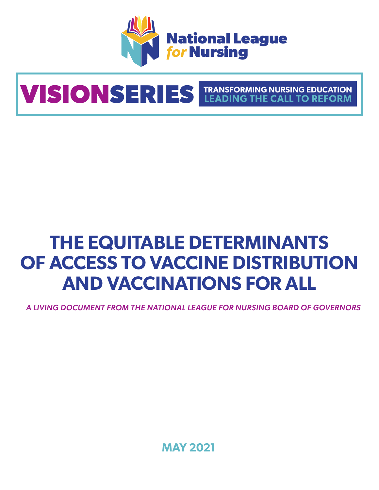

# **VISIONSERIES TRANSFORMING NURSING EDUCATION**

# **THE EQUITABLE DETERMINANTS OF ACCESS TO VACCINE DISTRIBUTION AND VACCINATIONS FOR ALL**

*A LIVING DOCUMENT FROM THE NATIONAL LEAGUE FOR NURSING BOARD OF GOVERNORS*

**MAY 2021**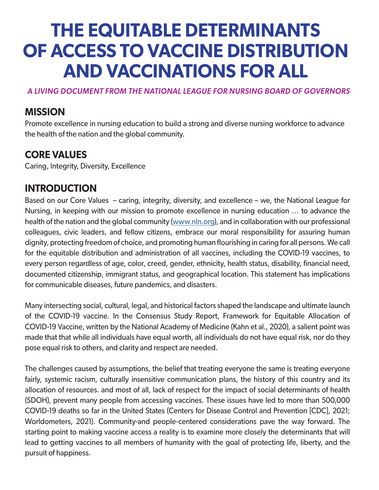# **THE EQUITABLE DETERMINANTS OF ACCESS TO VACCINE DISTRIBUTION AND VACCINATIONS FOR ALL**

#### *A LIVING DOCUMENT FROM THE NATIONAL LEAGUE FOR NURSING BOARD OF GOVERNORS*

## **MISSION**

Promote excellence in nursing education to build a strong and diverse nursing workforce to advance the health of the nation and the global community.

# **CORE VALUES**

Caring, Integrity, Diversity, Excellence

## **INTRODUCTION**

Based on our Core Values – caring, integrity, diversity, and excellence – we, the National League for Nursing, in keeping with our mission to promote excellence in nursing education … to advance the health of the nation and the global community (www.nln.org), and in collaboration with our professional colleagues, civic leaders, and fellow citizens, embrace our moral responsibility for assuring human dignity, protecting freedom of choice, and promoting human flourishing in caring for all persons. We call for the equitable distribution and administration of all vaccines, including the COVID-19 vaccines, to every person regardless of age, color, creed, gender, ethnicity, health status, disability, financial need, documented citizenship, immigrant status, and geographical location. This statement has implications for communicable diseases, future pandemics, and disasters.

Many intersecting social, cultural, legal, and historical factors shaped the landscape and ultimate launch of the COVID-19 vaccine. In the Consensus Study Report, Framework for Equitable Allocation of COVID-19 Vaccine, written by the National Academy of Medicine (Kahn et al., 2020), a salient point was made that that while all individuals have equal worth, all individuals do not have equal risk, nor do they pose equal risk to others, and clarity and respect are needed.

The challenges caused by assumptions, the belief that treating everyone the same is treating everyone fairly, systemic racism, culturally insensitive communication plans, the history of this country and its allocation of resources. and most of all, lack of respect for the impact of social determinants of health (SDOH), prevent many people from accessing vaccines. These issues have led to more than 500,000 COVID-19 deaths so far in the United States (Centers for Disease Control and Prevention [CDC], 2021; Worldometers, 2021). Community-and people-centered considerations pave the way forward. The starting point to making vaccine access a reality is to examine more closely the determinants that will lead to getting vaccines to all members of humanity with the goal of protecting life, liberty, and the pursuit of happiness.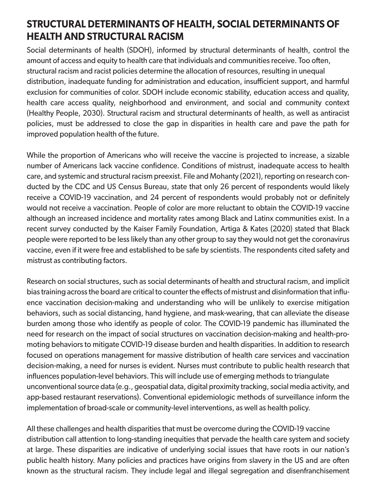# **STRUCTURAL DETERMINANTS OF HEALTH, SOCIAL DETERMINANTS OF HEALTH AND STRUCTURAL RACISM**

Social determinants of health (SDOH), informed by structural determinants of health, control the amount of access and equity to health care that individuals and communities receive. Too often, structural racism and racist policies determine the allocation of resources, resulting in unequal distribution, inadequate funding for administration and education, insufficient support, and harmful exclusion for communities of color. SDOH include economic stability, education access and quality, health care access quality, neighborhood and environment, and social and community context (Healthy People, 2030). Structural racism and structural determinants of health, as well as antiracist policies, must be addressed to close the gap in disparities in health care and pave the path for improved population health of the future.

While the proportion of Americans who will receive the vaccine is projected to increase, a sizable number of Americans lack vaccine confidence. Conditions of mistrust, inadequate access to health care, and systemic and structural racism preexist. File and Mohanty (2021), reporting on research conducted by the CDC and US Census Bureau, state that only 26 percent of respondents would likely receive a COVID-19 vaccination, and 24 percent of respondents would probably not or definitely would not receive a vaccination. People of color are more reluctant to obtain the COVID-19 vaccine although an increased incidence and mortality rates among Black and Latinx communities exist. In a recent survey conducted by the Kaiser Family Foundation, Artiga & Kates (2020) stated that Black people were reported to be less likely than any other group to say they would not get the coronavirus vaccine, even if it were free and established to be safe by scientists. The respondents cited safety and mistrust as contributing factors.

Research on social structures, such as social determinants of health and structural racism, and implicit bias training across the board are critical to counter the effects of mistrust and disinformation that influence vaccination decision-making and understanding who will be unlikely to exercise mitigation behaviors, such as social distancing, hand hygiene, and mask-wearing, that can alleviate the disease burden among those who identify as people of color. The COVID-19 pandemic has illuminated the need for research on the impact of social structures on vaccination decision-making and health-promoting behaviors to mitigate COVID-19 disease burden and health disparities. In addition to research focused on operations management for massive distribution of health care services and vaccination decision-making, a need for nurses is evident. Nurses must contribute to public health research that influences population-level behaviors. This will include use of emerging methods to triangulate unconventional source data (e.g., geospatial data, digital proximity tracking, social media activity, and app-based restaurant reservations). Conventional epidemiologic methods of surveillance inform the implementation of broad-scale or community-level interventions, as well as health policy.

All these challenges and health disparities that must be overcome during the COVID-19 vaccine distribution call attention to long-standing inequities that pervade the health care system and society at large. These disparities are indicative of underlying social issues that have roots in our nation's public health history. Many policies and practices have origins from slavery in the US and are often known as the structural racism. They include legal and illegal segregation and disenfranchisement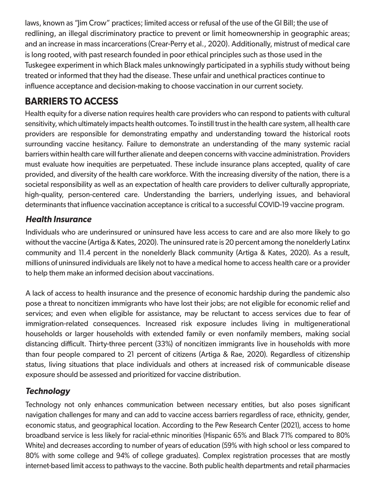laws, known as "Jim Crow" practices; limited access or refusal of the use of the GI Bill; the use of redlining, an illegal discriminatory practice to prevent or limit homeownership in geographic areas; and an increase in mass incarcerations (Crear-Perry et al., 2020). Additionally, mistrust of medical care is long rooted, with past research founded in poor ethical principles such as those used in the Tuskegee experiment in which Black males unknowingly participated in a syphilis study without being treated or informed that they had the disease. These unfair and unethical practices continue to influence acceptance and decision-making to choose vaccination in our current society.

# **BARRIERS TO ACCESS**

Health equity for a diverse nation requires health care providers who can respond to patients with cultural sensitivity, which ultimately impacts health outcomes. To instill trust in the health care system, all health care providers are responsible for demonstrating empathy and understanding toward the historical roots surrounding vaccine hesitancy. Failure to demonstrate an understanding of the many systemic racial barriers within health care will further alienate and deepen concerns with vaccine administration. Providers must evaluate how inequities are perpetuated. These include insurance plans accepted, quality of care provided, and diversity of the health care workforce. With the increasing diversity of the nation, there is a societal responsibility as well as an expectation of health care providers to deliver culturally appropriate, high-quality, person-centered care. Understanding the barriers, underlying issues, and behavioral determinants that influence vaccination acceptance is critical to a successful COVID-19 vaccine program.

#### *Health Insurance*

Individuals who are underinsured or uninsured have less access to care and are also more likely to go without the vaccine (Artiga & Kates, 2020). The uninsured rate is 20 percent among the nonelderly Latinx community and 11.4 percent in the nonelderly Black community (Artiga & Kates, 2020). As a result, millions of uninsured individuals are likely not to have a medical home to access health care or a provider to help them make an informed decision about vaccinations.

A lack of access to health insurance and the presence of economic hardship during the pandemic also pose a threat to noncitizen immigrants who have lost their jobs; are not eligible for economic relief and services; and even when eligible for assistance, may be reluctant to access services due to fear of immigration-related consequences. Increased risk exposure includes living in multigenerational households or larger households with extended family or even nonfamily members, making social distancing difficult. Thirty-three percent (33%) of noncitizen immigrants live in households with more than four people compared to 21 percent of citizens (Artiga & Rae, 2020). Regardless of citizenship status, living situations that place individuals and others at increased risk of communicable disease exposure should be assessed and prioritized for vaccine distribution.

### *Technology*

Technology not only enhances communication between necessary entities, but also poses significant navigation challenges for many and can add to vaccine access barriers regardless of race, ethnicity, gender, economic status, and geographical location. According to the Pew Research Center (2021), access to home broadband service is less likely for racial-ethnic minorities (Hispanic 65% and Black 71% compared to 80% White) and decreases according to number of years of education (59% with high school or less compared to 80% with some college and 94% of college graduates). Complex registration processes that are mostly internet-based limit access to pathways to the vaccine. Both public health departments and retail pharmacies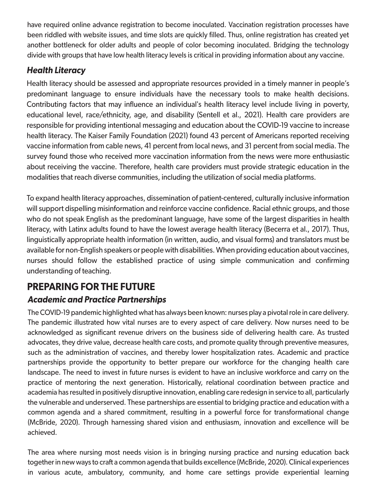have required online advance registration to become inoculated. Vaccination registration processes have been riddled with website issues, and time slots are quickly filled. Thus, online registration has created yet another bottleneck for older adults and people of color becoming inoculated. Bridging the technology divide with groups that have low health literacy levels is critical in providing information about any vaccine.

#### *Health Literacy*

Health literacy should be assessed and appropriate resources provided in a timely manner in people's predominant language to ensure individuals have the necessary tools to make health decisions. Contributing factors that may influence an individual's health literacy level include living in poverty, educational level, race/ethnicity, age, and disability (Sentell et al., 2021). Health care providers are responsible for providing intentional messaging and education about the COVID-19 vaccine to increase health literacy. The Kaiser Family Foundation (2021) found 43 percent of Americans reported receiving vaccine information from cable news, 41 percent from local news, and 31 percent from social media. The survey found those who received more vaccination information from the news were more enthusiastic about receiving the vaccine. Therefore, health care providers must provide strategic education in the modalities that reach diverse communities, including the utilization of social media platforms.

To expand health literacy approaches, dissemination of patient-centered, culturally inclusive information will support dispelling misinformation and reinforce vaccine confidence. Racial ethnic groups, and those who do not speak English as the predominant language, have some of the largest disparities in health literacy, with Latinx adults found to have the lowest average health literacy (Becerra et al., 2017). Thus, linguistically appropriate health information (in written, audio, and visual forms) and translators must be available for non-English speakers or people with disabilities. When providing education about vaccines, nurses should follow the established practice of using simple communication and confirming understanding of teaching.

# **PREPARING FOR THE FUTURE**

#### *Academic and Practice Partnerships*

The COVID-19 pandemic highlighted what has always been known: nurses play a pivotal role in care delivery. The pandemic illustrated how vital nurses are to every aspect of care delivery. Now nurses need to be acknowledged as significant revenue drivers on the business side of delivering health care. As trusted advocates, they drive value, decrease health care costs, and promote quality through preventive measures, such as the administration of vaccines, and thereby lower hospitalization rates. Academic and practice partnerships provide the opportunity to better prepare our workforce for the changing health care landscape. The need to invest in future nurses is evident to have an inclusive workforce and carry on the practice of mentoring the next generation. Historically, relational coordination between practice and academia has resulted in positively disruptive innovation, enabling care redesign in service to all, particularly the vulnerable and underserved. These partnerships are essential to bridging practice and education with a common agenda and a shared commitment, resulting in a powerful force for transformational change (McBride, 2020). Through harnessing shared vision and enthusiasm, innovation and excellence will be achieved.

The area where nursing most needs vision is in bringing nursing practice and nursing education back together in new ways to craft a common agenda that builds excellence (McBride, 2020). Clinical experiences in various acute, ambulatory, community, and home care settings provide experiential learning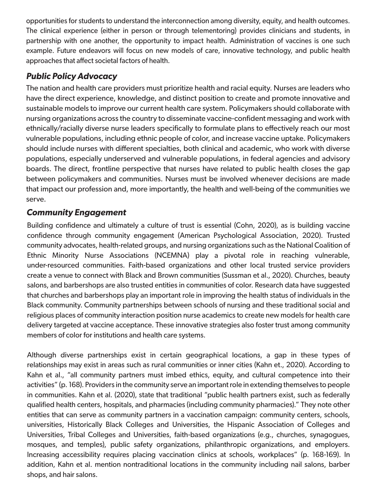opportunities for students to understand the interconnection among diversity, equity, and health outcomes. The clinical experience (either in person or through telementoring) provides clinicians and students, in partnership with one another, the opportunity to impact health. Administration of vaccines is one such example. Future endeavors will focus on new models of care, innovative technology, and public health approaches that affect societal factors of health.

#### *Public Policy Advocacy*

The nation and health care providers must prioritize health and racial equity. Nurses are leaders who have the direct experience, knowledge, and distinct position to create and promote innovative and sustainable models to improve our current health care system. Policymakers should collaborate with nursing organizations across the country to disseminate vaccine-confident messaging and work with ethnically/racially diverse nurse leaders specifically to formulate plans to effectively reach our most vulnerable populations, including ethnic people of color, and increase vaccine uptake. Policymakers should include nurses with different specialties, both clinical and academic, who work with diverse populations, especially underserved and vulnerable populations, in federal agencies and advisory boards. The direct, frontline perspective that nurses have related to public health closes the gap between policymakers and communities. Nurses must be involved whenever decisions are made that impact our profession and, more importantly, the health and well-being of the communities we serve.

#### *Community Engagement*

Building confidence and ultimately a culture of trust is essential (Cohn, 2020), as is building vaccine confidence through community engagement (American Psychological Association, 2020). Trusted community advocates, health-related groups, and nursing organizations such as the National Coalition of Ethnic Minority Nurse Associations (NCEMNA) play a pivotal role in reaching vulnerable, under-resourced communities. Faith-based organizations and other local trusted service providers create a venue to connect with Black and Brown communities (Sussman et al., 2020). Churches, beauty salons, and barbershops are also trusted entities in communities of color. Research data have suggested that churches and barbershops play an important role in improving the health status of individuals in the Black community. Community partnerships between schools of nursing and these traditional social and religious places of community interaction position nurse academics to create new models for health care delivery targeted at vaccine acceptance. These innovative strategies also foster trust among community members of color for institutions and health care systems.

Although diverse partnerships exist in certain geographical locations, a gap in these types of relationships may exist in areas such as rural communities or inner cities (Kahn et., 2020). According to Kahn et al., "all community partners must imbed ethics, equity, and cultural competence into their activities" (p. 168). Providers in the community serve an important role in extending themselves to people in communities. Kahn et al. (2020), state that traditional "public health partners exist, such as federally qualified health centers, hospitals, and pharmacies (including community pharmacies)." They note other entities that can serve as community partners in a vaccination campaign: community centers, schools, universities, Historically Black Colleges and Universities, the Hispanic Association of Colleges and Universities, Tribal Colleges and Universities, faith-based organizations (e.g., churches, synagogues, mosques, and temples), public safety organizations, philanthropic organizations, and employers. Increasing accessibility requires placing vaccination clinics at schools, workplaces" (p. 168-169). In addition, Kahn et al. mention nontraditional locations in the community including nail salons, barber shops, and hair salons.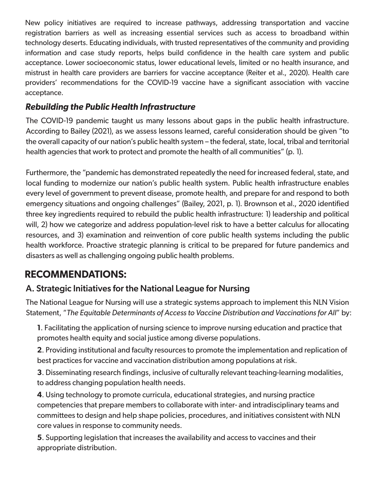New policy initiatives are required to increase pathways, addressing transportation and vaccine registration barriers as well as increasing essential services such as access to broadband within technology deserts. Educating individuals, with trusted representatives of the community and providing information and case study reports, helps build confidence in the health care system and public acceptance. Lower socioeconomic status, lower educational levels, limited or no health insurance, and mistrust in health care providers are barriers for vaccine acceptance (Reiter et al., 2020). Health care providers' recommendations for the COVID-19 vaccine have a significant association with vaccine acceptance.

#### *Rebuilding the Public Health Infrastructure*

The COVID-19 pandemic taught us many lessons about gaps in the public health infrastructure. According to Bailey (2021), as we assess lessons learned, careful consideration should be given "to the overall capacity of our nation's public health system – the federal, state, local, tribal and territorial health agencies that work to protect and promote the health of all communities" (p. 1).

Furthermore, the "pandemic has demonstrated repeatedly the need for increased federal, state, and local funding to modernize our nation's public health system. Public health infrastructure enables every level of government to prevent disease, promote health, and prepare for and respond to both emergency situations and ongoing challenges" (Bailey, 2021, p. 1). Brownson et al., 2020 identified three key ingredients required to rebuild the public health infrastructure: 1) leadership and political will, 2) how we categorize and address population-level risk to have a better calculus for allocating resources, and 3) examination and reinvention of core public health systems including the public health workforce. Proactive strategic planning is critical to be prepared for future pandemics and disasters as well as challenging ongoing public health problems.

# **RECOMMENDATIONS:**

#### A. Strategic Initiatives for the National League for Nursing

The National League for Nursing will use a strategic systems approach to implement this NLN Vision Statement, "*The Equitable Determinants of Access to Vaccine Distribution and Vaccinations for All*" by:

**1**. Facilitating the application of nursing science to improve nursing education and practice that promotes health equity and social justice among diverse populations.

**2**. Providing institutional and faculty resources to promote the implementation and replication of best practices for vaccine and vaccination distribution among populations at risk.

**3**. Disseminating research findings, inclusive of culturally relevant teaching-learning modalities, to address changing population health needs.

**4**. Using technology to promote curricula, educational strategies, and nursing practice competencies that prepare members to collaborate with inter- and intradisciplinary teams and committees to design and help shape policies, procedures, and initiatives consistent with NLN core values in response to community needs.

**5**. Supporting legislation that increases the availability and access to vaccines and their appropriate distribution.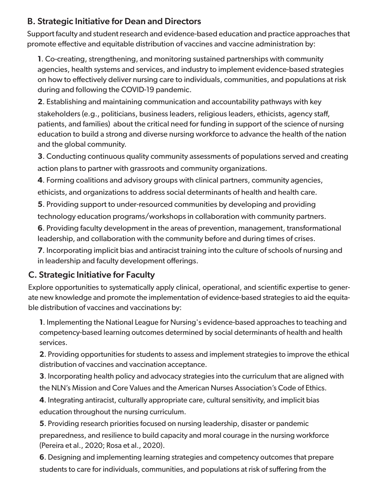#### B. Strategic Initiative for Dean and Directors

Support faculty and student research and evidence-based education and practice approaches that promote effective and equitable distribution of vaccines and vaccine administration by:

**1**. Co-creating, strengthening, and monitoring sustained partnerships with community agencies, health systems and services, and industry to implement evidence-based strategies on how to effectively deliver nursing care to individuals, communities, and populations at risk during and following the COVID-19 pandemic.

**2**. Establishing and maintaining communication and accountability pathways with key stakeholders (e.g., politicians, business leaders, religious leaders, ethicists, agency staff, patients, and families) about the critical need for funding in support of the science of nursing education to build a strong and diverse nursing workforce to advance the health of the nation and the global community.

**3**. Conducting continuous quality community assessments of populations served and creating action plans to partner with grassroots and community organizations.

**4**. Forming coalitions and advisory groups with clinical partners, community agencies,

ethicists, and organizations to address social determinants of health and health care.

**5**. Providing support to under-resourced communities by developing and providing

technology education programs/workshops in collaboration with community partners.

**6**. Providing faculty development in the areas of prevention, management, transformational leadership, and collaboration with the community before and during times of crises.

**7**. Incorporating implicit bias and antiracist training into the culture of schools of nursing and in leadership and faculty development offerings.

#### C. Strategic Initiative for Faculty

Explore opportunities to systematically apply clinical, operational, and scientific expertise to generate new knowledge and promote the implementation of evidence-based strategies to aid the equitable distribution of vaccines and vaccinations by:

**1**. Implementing the National League for Nursing's evidence-based approaches to teaching and competency-based learning outcomes determined by social determinants of health and health services.

**2**. Providing opportunities for students to assess and implement strategies to improve the ethical distribution of vaccines and vaccination acceptance.

**3**. Incorporating health policy and advocacy strategies into the curriculum that are aligned with the NLN's Mission and Core Values and the American Nurses Association's Code of Ethics.

**4**. Integrating antiracist, culturally appropriate care, cultural sensitivity, and implicit bias education throughout the nursing curriculum.

**5**. Providing research priorities focused on nursing leadership, disaster or pandemic preparedness, and resilience to build capacity and moral courage in the nursing workforce (Pereira et al., 2020; Rosa et al., 2020).

**6**. Designing and implementing learning strategies and competency outcomes that prepare students to care for individuals, communities, and populations at risk of suffering from the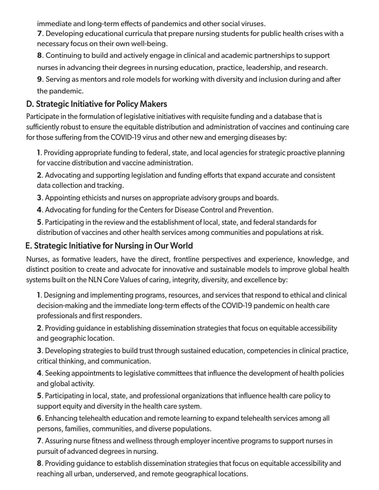immediate and long-term effects of pandemics and other social viruses.

**7**. Developing educational curricula that prepare nursing students for public health crises with a necessary focus on their own well-being.

**8**. Continuing to build and actively engage in clinical and academic partnerships to support nurses in advancing their degrees in nursing education, practice, leadership, and research.

**9**. Serving as mentors and role models for working with diversity and inclusion during and after the pandemic.

#### D. Strategic Initiative for Policy Makers

Participate in the formulation of legislative initiatives with requisite funding and a database that is sufficiently robust to ensure the equitable distribution and administration of vaccines and continuing care for those suffering from the COVID-19 virus and other new and emerging diseases by:

**1**. Providing appropriate funding to federal, state, and local agencies for strategic proactive planning for vaccine distribution and vaccine administration.

**2**. Advocating and supporting legislation and funding efforts that expand accurate and consistent data collection and tracking.

**3**. Appointing ethicists and nurses on appropriate advisory groups and boards.

**4**. Advocating for funding for the Centers for Disease Control and Prevention.

**5**. Participating in the review and the establishment of local, state, and federal standards for distribution of vaccines and other health services among communities and populations at risk.

#### E. Strategic Initiative for Nursing in Our World

Nurses, as formative leaders, have the direct, frontline perspectives and experience, knowledge, and distinct position to create and advocate for innovative and sustainable models to improve global health systems built on the NLN Core Values of caring, integrity, diversity, and excellence by:

**1**. Designing and implementing programs, resources, and services that respond to ethical and clinical decision-making and the immediate long-term effects of the COVID-19 pandemic on health care professionals and first responders.

**2**. Providing guidance in establishing dissemination strategies that focus on equitable accessibility and geographic location.

**3**. Developing strategies to build trust through sustained education, competencies in clinical practice, critical thinking, and communication.

**4**. Seeking appointments to legislative committees that influence the development of health policies and global activity.

**5**. Participating in local, state, and professional organizations that influence health care policy to support equity and diversity in the health care system.

**6**. Enhancing telehealth education and remote learning to expand telehealth services among all persons, families, communities, and diverse populations.

**7**. Assuring nurse fitness and wellness through employer incentive programs to support nurses in pursuit of advanced degrees in nursing.

**8**. Providing guidance to establish dissemination strategies that focus on equitable accessibility and reaching all urban, underserved, and remote geographical locations.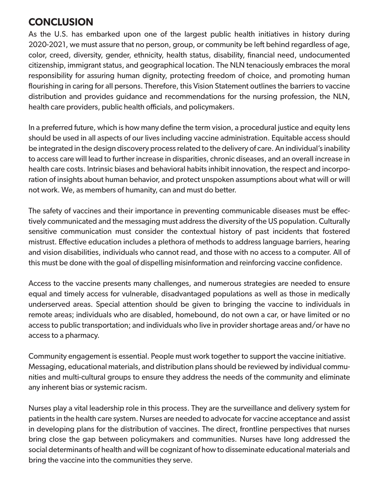# **CONCLUSION**

As the U.S. has embarked upon one of the largest public health initiatives in history during 2020-2021, we must assure that no person, group, or community be left behind regardless of age, color, creed, diversity, gender, ethnicity, health status, disability, financial need, undocumented citizenship, immigrant status, and geographical location. The NLN tenaciously embraces the moral responsibility for assuring human dignity, protecting freedom of choice, and promoting human flourishing in caring for all persons. Therefore, this Vision Statement outlines the barriers to vaccine distribution and provides guidance and recommendations for the nursing profession, the NLN, health care providers, public health officials, and policymakers.

In a preferred future, which is how many define the term vision, a procedural justice and equity lens should be used in all aspects of our lives including vaccine administration. Equitable access should be integrated in the design discovery process related to the delivery of care. An individual's inability to access care will lead to further increase in disparities, chronic diseases, and an overall increase in health care costs. Intrinsic biases and behavioral habits inhibit innovation, the respect and incorporation of insights about human behavior, and protect unspoken assumptions about what will or will not work. We, as members of humanity, can and must do better.

The safety of vaccines and their importance in preventing communicable diseases must be effectively communicated and the messaging must address the diversity of the US population. Culturally sensitive communication must consider the contextual history of past incidents that fostered mistrust. Effective education includes a plethora of methods to address language barriers, hearing and vision disabilities, individuals who cannot read, and those with no access to a computer. All of this must be done with the goal of dispelling misinformation and reinforcing vaccine confidence.

Access to the vaccine presents many challenges, and numerous strategies are needed to ensure equal and timely access for vulnerable, disadvantaged populations as well as those in medically underserved areas. Special attention should be given to bringing the vaccine to individuals in remote areas; individuals who are disabled, homebound, do not own a car, or have limited or no access to public transportation; and individuals who live in provider shortage areas and/or have no access to a pharmacy.

Community engagement is essential. People must work together to support the vaccine initiative. Messaging, educational materials, and distribution plans should be reviewed by individual communities and multi-cultural groups to ensure they address the needs of the community and eliminate any inherent bias or systemic racism.

Nurses play a vital leadership role in this process. They are the surveillance and delivery system for patients in the health care system. Nurses are needed to advocate for vaccine acceptance and assist in developing plans for the distribution of vaccines. The direct, frontline perspectives that nurses bring close the gap between policymakers and communities. Nurses have long addressed the social determinants of health and will be cognizant of how to disseminate educational materials and bring the vaccine into the communities they serve.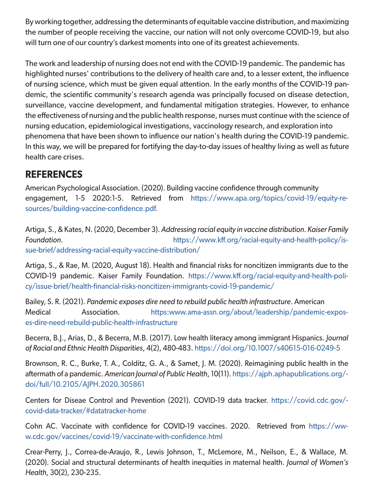By working together, addressing the determinants of equitable vaccine distribution, and maximizing the number of people receiving the vaccine, our nation will not only overcome COVID-19, but also will turn one of our country's darkest moments into one of its greatest achievements.

The work and leadership of nursing does not end with the COVID-19 pandemic. The pandemic has highlighted nurses' contributions to the delivery of health care and, to a lesser extent, the influence of nursing science, which must be given equal attention. In the early months of the COVID-19 pandemic, the scientific community's research agenda was principally focused on disease detection, surveillance, vaccine development, and fundamental mitigation strategies. However, to enhance the effectiveness of nursing and the public health response, nurses must continue with the science of nursing education, epidemiological investigations, vaccinology research, and exploration into phenomena that have been shown to influence our nation's health during the COVID-19 pandemic. In this way, we will be prepared for fortifying the day-to-day issues of healthy living as well as future health care crises.

# **REFERENCES**

American Psychological Association. (2020). Building vaccine confidence through community engagement, 1-5 2020:1-5. Retrieved from https://www.apa.org/topics/covid-19/equity-resources/building-vaccine-confidence.pdf.

Artiga, S., & Kates, N. (2020, December 3). *Addressing racial equity in vaccine distribution. Kaiser Family Foundation*. https://www.kff.org/racial-equity-and-health-policy/issue-brief/addressing-racial-equity-vaccine-distribution/

Artiga, S., & Rae, M. (2020, August 18). Health and financial risks for noncitizen immigrants due to the COVID-19 pandemic. Kaiser Family Foundation. https://www.kff.org/racial-equity-and-health-policy/issue-brief/health-financial-risks-noncitizen-immigrants-covid-19-pandemic/

Bailey, S. R. (2021). *Pandemic exposes dire need to rebuild public health infrastructure*. American Medical Association. https:www.ama-assn.org/about/leadership/pandemic-exposes-dire-need-rebuild-public-health-infrastructure

Becerra, B.J., Arias, D., & Becerra, M.B. (2017). Low health literacy among immigrant Hispanics. *Journal of Racial and Ethnic Health Disparities*, 4(2), 480-483. https://doi.org/10.1007/s40615-016-0249-5

Brownson, R. C., Burke, T. A., Colditz, G. A., & Samet, J. M. (2020). Reimagining public health in the aftermath of a pandemic. American Journal of Public Health, 10(11). https://ajph.aphapublications.org/doi/full/10.2105/AJPH.2020.305861

Centers for Diseae Control and Prevention (2021). COVID-19 data tracker. https://covid.cdc.gov/ covid-data-tracker/#datatracker-home

Cohn AC. Vaccinate with confidence for COVID-19 vaccines. 2020. Retrieved from https://www.cdc.gov/vaccines/covid-19/vaccinate-with-confidence.html

Crear-Perry, J., Correa-de-Araujo, R., Lewis Johnson, T., McLemore, M., Neilson, E., & Wallace, M. (2020). Social and structural determinants of health inequities in maternal health. *Journal of Women's Health*, 30(2), 230-235.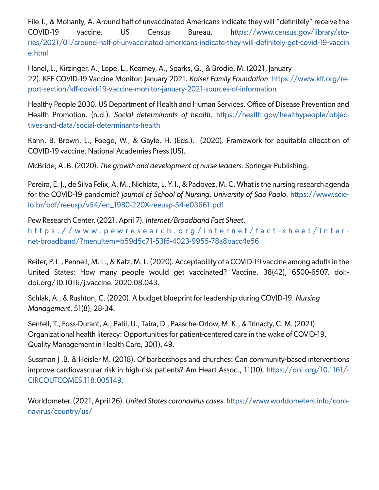File T., & Mohanty, A. Around half of unvaccinated Americans indicate they will "definitely" receive the COVID-19 vaccine. US Census Bureau. https://www.census.gov/library/stories/2021/01/around-half-of-unvaccinated-americans-indicate-they-will-definitely-get-covid-19-vaccin e.html

Hanel, L., Kirzinger, A., Lope, L., Kearney, A., Sparks, G., & Brodie, M. (2021, January 22). KFF COVID-19 Vaccine Monitor: January 2021. *Kaiser Family Foundation*. https://www.kff.org/report-section/kff-covid-19-vaccine-monitor-january-2021-sources-of-information

Healthy People 2030. US Department of Health and Human Services, Office of Disease Prevention and Health Promotion. (n.d.). *Social determinants of health*. https://health.gov/healthypeople/objectives-and-data/social-determinants-health

Kahn, B. Brown, L., Foege, W., & Gayle, H. (Eds.). (2020). Framework for equitable allocation of COVID-19 vaccine. National Academies Press (US).

McBride, A. B. (2020). *The growth and development of nurse leaders*. Springer Publishing.

Pereira, E. J., de Silva Felix, A. M., Nichiata, L. Y. I., & Padovez, M. C. What is the nursing research agenda for the COVID-19 pandemic? *Journal of School of Nursing, University of Sao Paolo*. https://www.scielo.br/pdf/reeusp/v54/en\_1980-220X-reeusp-54-e03661.pdf

Pew Research Center. (2021, April 7). *Internet/Broadband Fact Sheet*. https://www.pewresearch.org/internet/fact-sheet/inter net-broadband/?menuItem=b59d5c71-53f5-4023-9955-78a8bacc4e56

Reiter, P. L., Pennell, M. L., & Katz, M. L. (2020). Acceptability of a COVID-19 vaccine among adults in the United States: How many people would get vaccinated? Vaccine, 38(42), 6500-6507. doi: doi.org/10.1016/j.vaccine. 2020.08.043.

Schlak, A., & Rushton, C. (2020). A budget blueprint for leadership during COVID-19. *Nursing Management*, 51(8), 28-34.

Sentell, T., Foss-Durant, A., Patil, U., Taira, D., Paasche-Orlow, M. K., & Trinacty, C. M. (2021). Organizational health literacy: Opportunities for patient-centered care in the wake of COVID-19. Quality Management in Health Care, 30(1), 49.

Sussman | .B. & Heisler M. (2018). Of barbershops and churches: Can community-based interventions improve cardiovascular risk in high-risk patients? Am Heart Assoc., 11(10). https://doi.org/10.1161/- CIRCOUTCOMES.118.005149.

Worldometer. (2021, April 26). *United States coronavirus cases*. https://www.worldometers.info/coronavirus/country/us/